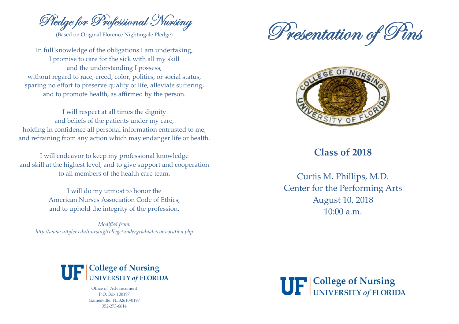Pledge for Professional Nursing

(Based on Original Florence Nightingale Pledge)

In full knowledge of the obligations I am undertaking, I promise to care for the sick with all my skill and the understanding I possess, without regard to race, creed, color, politics, or social status, sparing no effort to preserve quality of life, alleviate suffering, and to promote health, as affirmed by the person.

I will respect at all times the dignity and beliefs of the patients under my care, holding in confidence all personal information entrusted to me, and refraining from any action which may endanger life or health.

I will endeavor to keep my professional knowledge and skill at the highest level, and to give support and cooperation to all members of the health care team

> I will do my utmost to honor the American Nurses Association Code of Ethics. and to uphold the integrity of the profession.

Modified from: http://www.uttyler.edu/nursing/college/undergraduate/convocation.php





## Class of 2018

Curtis M. Phillips, M.D. Center for the Performing Arts **August 10, 2018**  $10:00 a.m.$ 



Office of Advancement P.O. Box 100197 Gainesville, FL 32610-0197 352-273-6614

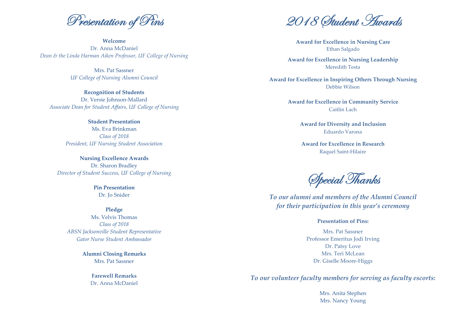Presentation of Pins

Welcome Dr. Anna McDaniel Dean & the Linda Harman Aiken Professor, UF College of Nursing

Mrs Pat Sassner UF College of Nursing Alumni Council

**Recognition of Students** Dr. Versie Johnson-Mallard Associate Dean for Student Affairs, UF College of Nursing

> **Student Presentation** Ms. Eva Brinkman Class of 2018 President, UF Nursing Student Association

**Nursing Excellence Awards** Dr. Sharon Bradley Director of Student Success, UF College of Nursing

> **Pin Presentation** Dr. Jo Snider

Pledge Ms Velvis Thomas Class of 2018 ABSN Jacksonville Student Representative Gator Nurse Student Ambassador

> **Alumni Closing Remarks** Mrs. Pat Sassner

> > **Farewell Remarks** Dr. Anna McDaniel

2018 Student Hwards

**Award for Excellence in Nursing Care** Ethan Salgado

**Award for Excellence in Nursing Leadership** Meredith Testa

Award for Excellence in Inspiring Others Through Nursing Debbie Wilson

> **Award for Excellence in Community Service** Caitlin Lach

> > **Award for Diversity and Inclusion** Eduardo Varona

**Award for Excellence in Research Raquel Saint-Hilaire** 

Special Thanks

To our alumni and members of the Alumni Council for their participation in this year's ceremony

## **Presentation of Pins:**

Mrs. Pat Sassner Professor Emeritus Jodi Irving Dr. Patsy Love Mrs. Teri McLean Dr. Giselle Moore-Higgs

To our volunteer faculty members for serving as faculty escorts:

Mrs. Anita Stephen Mrs. Nancy Young